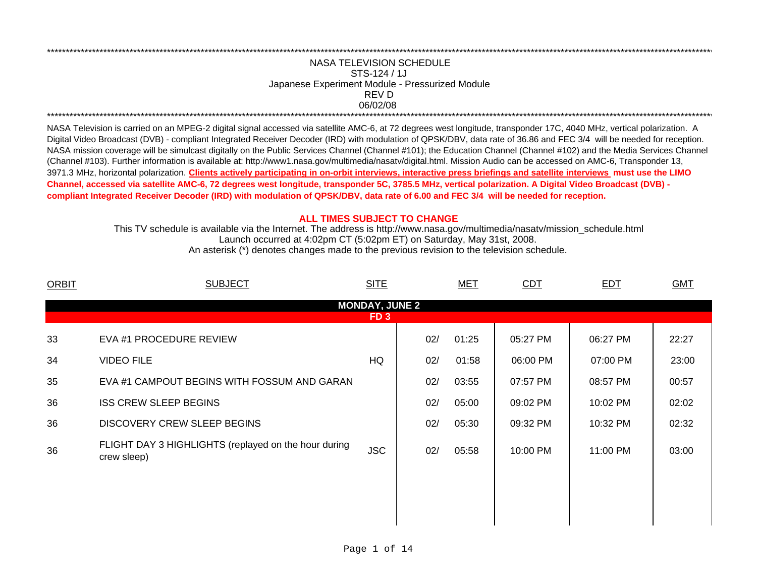## REV DNASA TELEVISION SCHEDULESTS-124 / 1JJapanese Experiment Module - Pressurized Module 06/02/08 \*\*\*\*\*\*\*\*\*\*\*\*\*\*\*\*\*\*\*\*\*\*\*\*\*\*\*\*\*\*\*\*\*\*\*\*\*\*\*\*\*\*\*\*\*\*\*\*\*\*\*\*\*\*\*\*\*\*\*\*\*\*\*\*\*\*\*\*\*\*\*\*\*\*\*\*\*\*\*\*\*\*\*\*\*\*\*\*\*\*\*\*\*\*\*\*\*\*\*\*\*\*\*\*\*\*\*\*\*\*\*\*\*\*\*\*\*\*\*\*\*\*\*\*\*\*\*\*\*\*\*\*\*\*\*\*\*\*\*\*\*\*\*\*\*\*\*\*\*\*\*\*\*\*\*\*\*\*\*\*\*\*\*\*\*\*\*\*\*\*\*\*\*\*\*\*\*\*

\*\*\*\*\*\*\*\*\*\*\*\*\*\*\*\*\*\*\*\*\*\*\*\*\*\*\*\*\*\*\*\*\*\*\*\*\*\*\*\*\*\*\*\*\*\*\*\*\*\*\*\*\*\*\*\*\*\*\*\*\*\*\*\*\*\*\*\*\*\*\*\*\*\*\*\*\*\*\*\*\*\*\*\*\*\*\*\*\*\*\*\*\*\*\*\*\*\*\*\*\*\*\*\*\*\*\*\*\*\*\*\*\*\*\*\*\*\*\*\*\*\*\*\*\*\*\*\*\*\*\*\*\*\*\*\*\*\*\*\*\*\*\*\*\*\*\*\*\*\*\*\*\*\*\*\*\*\*\*\*\*\*\*\*\*\*\*\*\*\*\*\*\*\*\*\*\*\*

NASA Television is carried on an MPEG-2 digital signal accessed via satellite AMC-6, at 72 degrees west longitude, transponder 17C, 4040 MHz, vertical polarization. A Digital Video Broadcast (DVB) - compliant Integrated Receiver Decoder (IRD) with modulation of QPSK/DBV, data rate of 36.86 and FEC 3/4 will be needed for reception. NASA mission coverage will be simulcast digitally on the Public Services Channel (Channel #101); the Education Channel (Channel #102) and the Media Services Channel (Channel #103). Further information is available at: http://www1.nasa.gov/multimedia/nasatv/digital.html. Mission Audio can be accessed on AMC-6, Transponder 13, 3971.3 MHz, horizontal polarization. **Clients actively participating in on-orbit interviews, interactive press briefings and satellite interviews must use the LIMO Channel, accessed via satellite AMC-6, 72 degrees west longitude, transponder 5C, 3785.5 MHz, vertical polarization. A Digital Video Broadcast (DVB) compliant Integrated Receiver Decoder (IRD) with modulation of QPSK/DBV, data rate of 6.00 and FEC 3/4 will be needed for reception.**

## **ALL TIMES SUBJECT TO CHANGE**

Launch occurred at 4:02pm CT (5:02pm ET) on Saturday, May 31st, 2008. This TV schedule is available via the Internet. The address is http://www.nasa.gov/multimedia/nasatv/mission\_schedule.html An asterisk (\*) denotes changes made to the previous revision to the television schedule.

| <b>ORBIT</b>          | <b>SUBJECT</b>                                                      | <b>SITE</b>     |     | <b>MET</b> | CDT      | EDT      | <b>GMT</b> |  |  |  |  |  |
|-----------------------|---------------------------------------------------------------------|-----------------|-----|------------|----------|----------|------------|--|--|--|--|--|
| <b>MONDAY, JUNE 2</b> |                                                                     |                 |     |            |          |          |            |  |  |  |  |  |
|                       |                                                                     | FD <sub>3</sub> |     |            |          |          |            |  |  |  |  |  |
| 33                    | EVA #1 PROCEDURE REVIEW                                             |                 | 02/ | 01:25      | 05:27 PM | 06:27 PM | 22:27      |  |  |  |  |  |
| 34                    | <b>VIDEO FILE</b>                                                   | HQ              | 02/ | 01:58      | 06:00 PM | 07:00 PM | 23:00      |  |  |  |  |  |
| 35                    | EVA #1 CAMPOUT BEGINS WITH FOSSUM AND GARAN                         |                 | 02/ | 03:55      | 07:57 PM | 08:57 PM | 00:57      |  |  |  |  |  |
| 36                    | <b>ISS CREW SLEEP BEGINS</b>                                        |                 | 02/ | 05:00      | 09:02 PM | 10:02 PM | 02:02      |  |  |  |  |  |
| 36                    | DISCOVERY CREW SLEEP BEGINS                                         |                 | 02/ | 05:30      | 09:32 PM | 10:32 PM | 02:32      |  |  |  |  |  |
| 36                    | FLIGHT DAY 3 HIGHLIGHTS (replayed on the hour during<br>crew sleep) | <b>JSC</b>      | 02/ | 05:58      | 10:00 PM | 11:00 PM | 03:00      |  |  |  |  |  |
|                       |                                                                     |                 |     |            |          |          |            |  |  |  |  |  |
|                       |                                                                     |                 |     |            |          |          |            |  |  |  |  |  |
|                       |                                                                     |                 |     |            |          |          |            |  |  |  |  |  |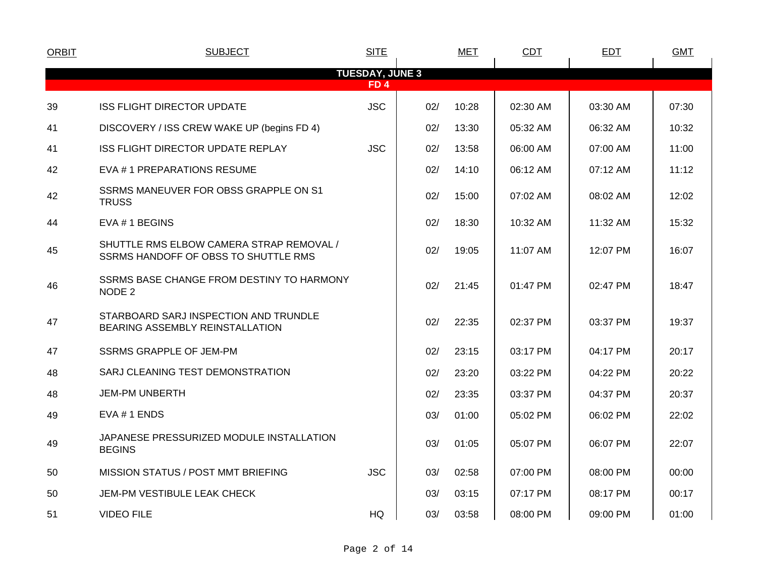| <b>ORBIT</b>           | <b>SUBJECT</b>                                                                   | <b>SITE</b>     |     | <b>MET</b> | CDT      | <b>EDT</b> | <b>GMT</b> |  |  |  |  |  |
|------------------------|----------------------------------------------------------------------------------|-----------------|-----|------------|----------|------------|------------|--|--|--|--|--|
| <b>TUESDAY, JUNE 3</b> |                                                                                  |                 |     |            |          |            |            |  |  |  |  |  |
|                        |                                                                                  | FD <sub>4</sub> |     |            |          |            |            |  |  |  |  |  |
| 39                     | <b>ISS FLIGHT DIRECTOR UPDATE</b>                                                | <b>JSC</b>      | 02/ | 10:28      | 02:30 AM | 03:30 AM   | 07:30      |  |  |  |  |  |
| 41                     | DISCOVERY / ISS CREW WAKE UP (begins FD 4)                                       |                 | 02/ | 13:30      | 05:32 AM | 06:32 AM   | 10:32      |  |  |  |  |  |
| 41                     | ISS FLIGHT DIRECTOR UPDATE REPLAY                                                | <b>JSC</b>      | 02/ | 13:58      | 06:00 AM | 07:00 AM   | 11:00      |  |  |  |  |  |
| 42                     | EVA #1 PREPARATIONS RESUME                                                       |                 | 02/ | 14:10      | 06:12 AM | 07:12 AM   | 11:12      |  |  |  |  |  |
| 42                     | SSRMS MANEUVER FOR OBSS GRAPPLE ON S1<br><b>TRUSS</b>                            |                 | 02/ | 15:00      | 07:02 AM | 08:02 AM   | 12:02      |  |  |  |  |  |
| 44                     | EVA # 1 BEGINS                                                                   |                 | 02/ | 18:30      | 10:32 AM | 11:32 AM   | 15:32      |  |  |  |  |  |
| 45                     | SHUTTLE RMS ELBOW CAMERA STRAP REMOVAL /<br>SSRMS HANDOFF OF OBSS TO SHUTTLE RMS |                 | 02/ | 19:05      | 11:07 AM | 12:07 PM   | 16:07      |  |  |  |  |  |
| 46                     | SSRMS BASE CHANGE FROM DESTINY TO HARMONY<br>NODE 2                              |                 | 02/ | 21:45      | 01:47 PM | 02:47 PM   | 18:47      |  |  |  |  |  |
| 47                     | STARBOARD SARJ INSPECTION AND TRUNDLE<br>BEARING ASSEMBLY REINSTALLATION         |                 | 02/ | 22:35      | 02:37 PM | 03:37 PM   | 19:37      |  |  |  |  |  |
| 47                     | <b>SSRMS GRAPPLE OF JEM-PM</b>                                                   |                 | 02/ | 23:15      | 03:17 PM | 04:17 PM   | 20:17      |  |  |  |  |  |
| 48                     | SARJ CLEANING TEST DEMONSTRATION                                                 |                 | 02/ | 23:20      | 03:22 PM | 04:22 PM   | 20:22      |  |  |  |  |  |
| 48                     | <b>JEM-PM UNBERTH</b>                                                            |                 | 02/ | 23:35      | 03:37 PM | 04:37 PM   | 20:37      |  |  |  |  |  |
| 49                     | EVA #1 ENDS                                                                      |                 | 03/ | 01:00      | 05:02 PM | 06:02 PM   | 22:02      |  |  |  |  |  |
| 49                     | JAPANESE PRESSURIZED MODULE INSTALLATION<br><b>BEGINS</b>                        |                 | 03/ | 01:05      | 05:07 PM | 06:07 PM   | 22:07      |  |  |  |  |  |
| 50                     | MISSION STATUS / POST MMT BRIEFING                                               | <b>JSC</b>      | 03/ | 02:58      | 07:00 PM | 08:00 PM   | 00:00      |  |  |  |  |  |
| 50                     | JEM-PM VESTIBULE LEAK CHECK                                                      |                 | 03/ | 03:15      | 07:17 PM | 08:17 PM   | 00:17      |  |  |  |  |  |
| 51                     | <b>VIDEO FILE</b>                                                                | HQ              | 03/ | 03:58      | 08:00 PM | 09:00 PM   | 01:00      |  |  |  |  |  |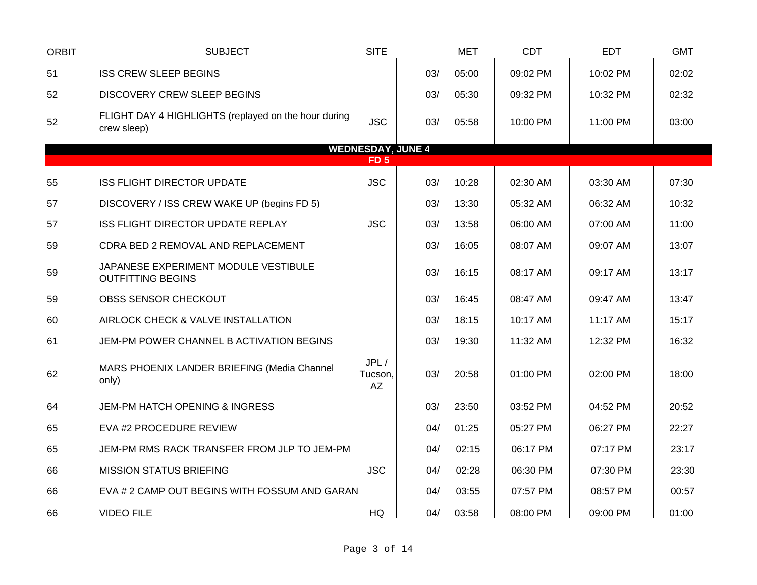| <b>ORBIT</b> | <b>SUBJECT</b>                                                      | <b>SITE</b>              |     | <b>MET</b> | CDT      | EDT      | <b>GMT</b> |
|--------------|---------------------------------------------------------------------|--------------------------|-----|------------|----------|----------|------------|
| 51           | <b>ISS CREW SLEEP BEGINS</b>                                        |                          | 03/ | 05:00      | 09:02 PM | 10:02 PM | 02:02      |
| 52           | <b>DISCOVERY CREW SLEEP BEGINS</b>                                  |                          | 03/ | 05:30      | 09:32 PM | 10:32 PM | 02:32      |
| 52           | FLIGHT DAY 4 HIGHLIGHTS (replayed on the hour during<br>crew sleep) | <b>JSC</b>               | 03/ | 05:58      | 10:00 PM | 11:00 PM | 03:00      |
|              |                                                                     | <b>WEDNESDAY, JUNE 4</b> |     |            |          |          |            |
|              |                                                                     | FD <sub>5</sub>          |     |            |          |          |            |
| 55           | <b>ISS FLIGHT DIRECTOR UPDATE</b>                                   | <b>JSC</b>               | 03/ | 10:28      | 02:30 AM | 03:30 AM | 07:30      |
| 57           | DISCOVERY / ISS CREW WAKE UP (begins FD 5)                          |                          | 03/ | 13:30      | 05:32 AM | 06:32 AM | 10:32      |
| 57           | ISS FLIGHT DIRECTOR UPDATE REPLAY                                   | <b>JSC</b>               | 03/ | 13:58      | 06:00 AM | 07:00 AM | 11:00      |
| 59           | CDRA BED 2 REMOVAL AND REPLACEMENT                                  |                          | 03/ | 16:05      | 08:07 AM | 09:07 AM | 13:07      |
| 59           | JAPANESE EXPERIMENT MODULE VESTIBULE<br><b>OUTFITTING BEGINS</b>    |                          | 03/ | 16:15      | 08:17 AM | 09:17 AM | 13:17      |
| 59           | OBSS SENSOR CHECKOUT                                                |                          | 03/ | 16:45      | 08:47 AM | 09:47 AM | 13:47      |
| 60           | AIRLOCK CHECK & VALVE INSTALLATION                                  |                          | 03/ | 18:15      | 10:17 AM | 11:17 AM | 15:17      |
| 61           | JEM-PM POWER CHANNEL B ACTIVATION BEGINS                            |                          | 03/ | 19:30      | 11:32 AM | 12:32 PM | 16:32      |
| 62           | MARS PHOENIX LANDER BRIEFING (Media Channel<br>only)                | JPL/<br>Tucson,<br>AZ    | 03/ | 20:58      | 01:00 PM | 02:00 PM | 18:00      |
| 64           | <b>JEM-PM HATCH OPENING &amp; INGRESS</b>                           |                          | 03/ | 23:50      | 03:52 PM | 04:52 PM | 20:52      |
| 65           | EVA #2 PROCEDURE REVIEW                                             |                          | 04/ | 01:25      | 05:27 PM | 06:27 PM | 22:27      |
| 65           | JEM-PM RMS RACK TRANSFER FROM JLP TO JEM-PM                         |                          | 04/ | 02:15      | 06:17 PM | 07:17 PM | 23:17      |
| 66           | <b>MISSION STATUS BRIEFING</b>                                      | <b>JSC</b>               | 04/ | 02:28      | 06:30 PM | 07:30 PM | 23:30      |
| 66           | EVA # 2 CAMP OUT BEGINS WITH FOSSUM AND GARAN                       |                          | 04/ | 03:55      | 07:57 PM | 08:57 PM | 00:57      |
| 66           | <b>VIDEO FILE</b>                                                   | HQ                       | 04/ | 03:58      | 08:00 PM | 09:00 PM | 01:00      |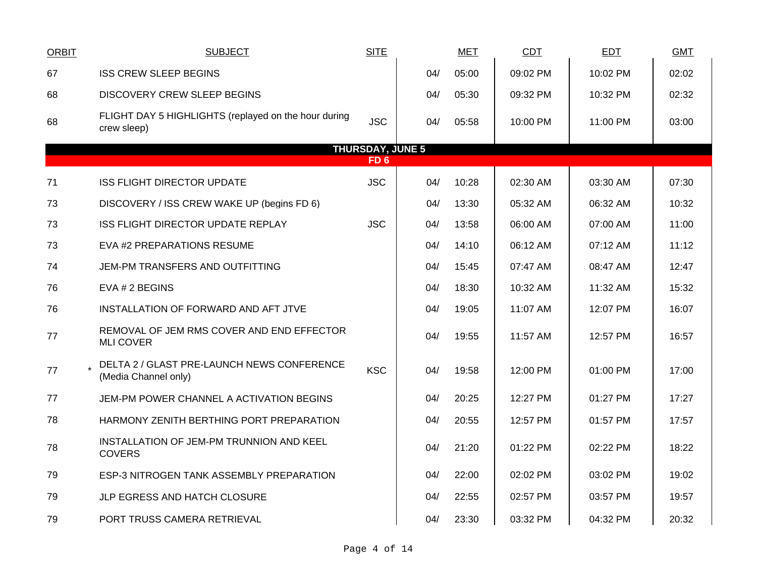| <b>ORBIT</b> | <b>SUBJECT</b>                                                      | <b>SITE</b> |     | <b>MET</b> | <b>CDT</b> | <b>EDT</b> | <b>GMT</b> |  |  |  |  |  |  |
|--------------|---------------------------------------------------------------------|-------------|-----|------------|------------|------------|------------|--|--|--|--|--|--|
| 67           | <b>ISS CREW SLEEP BEGINS</b>                                        |             | 04/ | 05:00      | 09:02 PM   | 10:02 PM   | 02:02      |  |  |  |  |  |  |
| 68           | <b>DISCOVERY CREW SLEEP BEGINS</b>                                  |             | 04/ | 05:30      | 09:32 PM   | 10:32 PM   | 02:32      |  |  |  |  |  |  |
| 68           | FLIGHT DAY 5 HIGHLIGHTS (replayed on the hour during<br>crew sleep) | <b>JSC</b>  | 04/ | 05:58      | 10:00 PM   | 11:00 PM   | 03:00      |  |  |  |  |  |  |
|              | <b>THURSDAY, JUNE 5</b><br>FD <sub>6</sub>                          |             |     |            |            |            |            |  |  |  |  |  |  |
| 71           | <b>ISS FLIGHT DIRECTOR UPDATE</b>                                   | <b>JSC</b>  | 04/ | 10:28      | 02:30 AM   | 03:30 AM   | 07:30      |  |  |  |  |  |  |
| 73           | DISCOVERY / ISS CREW WAKE UP (begins FD 6)                          |             | 04/ | 13:30      | 05:32 AM   | 06:32 AM   | 10:32      |  |  |  |  |  |  |
| 73           | ISS FLIGHT DIRECTOR UPDATE REPLAY                                   | <b>JSC</b>  | 04/ | 13:58      | 06:00 AM   | 07:00 AM   | 11:00      |  |  |  |  |  |  |
| 73           | EVA #2 PREPARATIONS RESUME                                          |             | 04/ | 14:10      | 06:12 AM   | 07:12 AM   | 11:12      |  |  |  |  |  |  |
| 74           | JEM-PM TRANSFERS AND OUTFITTING                                     |             | 04/ | 15:45      | 07:47 AM   | 08:47 AM   | 12:47      |  |  |  |  |  |  |
| 76           | EVA # 2 BEGINS                                                      |             | 04/ | 18:30      | 10:32 AM   | 11:32 AM   | 15:32      |  |  |  |  |  |  |
| 76           | INSTALLATION OF FORWARD AND AFT JTVE                                |             | 04/ | 19:05      | 11:07 AM   | 12:07 PM   | 16:07      |  |  |  |  |  |  |
| 77           | REMOVAL OF JEM RMS COVER AND END EFFECTOR<br><b>MLI COVER</b>       |             | 04/ | 19:55      | 11:57 AM   | 12:57 PM   | 16:57      |  |  |  |  |  |  |
| 77           | DELTA 2 / GLAST PRE-LAUNCH NEWS CONFERENCE<br>(Media Channel only)  | <b>KSC</b>  | 04/ | 19:58      | 12:00 PM   | 01:00 PM   | 17:00      |  |  |  |  |  |  |
| 77           | JEM-PM POWER CHANNEL A ACTIVATION BEGINS                            |             | 04/ | 20:25      | 12:27 PM   | 01:27 PM   | 17:27      |  |  |  |  |  |  |
| 78           | HARMONY ZENITH BERTHING PORT PREPARATION                            |             | 04/ | 20:55      | 12:57 PM   | 01:57 PM   | 17:57      |  |  |  |  |  |  |
| 78           | INSTALLATION OF JEM-PM TRUNNION AND KEEL<br><b>COVERS</b>           |             | 04/ | 21:20      | 01:22 PM   | 02:22 PM   | 18:22      |  |  |  |  |  |  |
| 79           | ESP-3 NITROGEN TANK ASSEMBLY PREPARATION                            |             | 04/ | 22:00      | 02:02 PM   | 03:02 PM   | 19:02      |  |  |  |  |  |  |
| 79           | JLP EGRESS AND HATCH CLOSURE                                        |             | 04/ | 22:55      | 02:57 PM   | 03:57 PM   | 19:57      |  |  |  |  |  |  |
| 79           | PORT TRUSS CAMERA RETRIEVAL                                         |             | 04/ | 23:30      | 03:32 PM   | 04:32 PM   | 20:32      |  |  |  |  |  |  |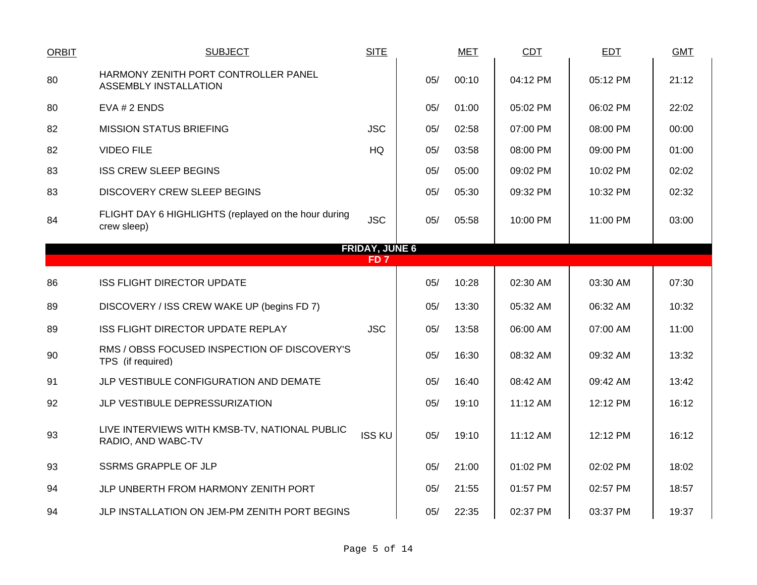| <b>ORBIT</b>    | <b>SUBJECT</b>                                                       | <b>SITE</b>   |     | <b>MET</b> | CDT      | <b>EDT</b> | <b>GMT</b> |  |  |  |  |  |  |  |
|-----------------|----------------------------------------------------------------------|---------------|-----|------------|----------|------------|------------|--|--|--|--|--|--|--|
| 80              | HARMONY ZENITH PORT CONTROLLER PANEL<br><b>ASSEMBLY INSTALLATION</b> |               | 05/ | 00:10      | 04:12 PM | 05:12 PM   | 21:12      |  |  |  |  |  |  |  |
| 80              | EVA # 2 ENDS                                                         |               | 05/ | 01:00      | 05:02 PM | 06:02 PM   | 22:02      |  |  |  |  |  |  |  |
| 82              | <b>MISSION STATUS BRIEFING</b>                                       | <b>JSC</b>    | 05/ | 02:58      | 07:00 PM | 08:00 PM   | 00:00      |  |  |  |  |  |  |  |
| 82              | <b>VIDEO FILE</b>                                                    | <b>HQ</b>     | 05/ | 03:58      | 08:00 PM | 09:00 PM   | 01:00      |  |  |  |  |  |  |  |
| 83              | <b>ISS CREW SLEEP BEGINS</b>                                         |               | 05/ | 05:00      | 09:02 PM | 10:02 PM   | 02:02      |  |  |  |  |  |  |  |
| 83              | <b>DISCOVERY CREW SLEEP BEGINS</b>                                   |               | 05/ | 05:30      | 09:32 PM | 10:32 PM   | 02:32      |  |  |  |  |  |  |  |
| 84              | FLIGHT DAY 6 HIGHLIGHTS (replayed on the hour during<br>crew sleep)  | <b>JSC</b>    | 05/ | 05:58      | 10:00 PM | 11:00 PM   | 03:00      |  |  |  |  |  |  |  |
|                 | <b>FRIDAY, JUNE 6</b>                                                |               |     |            |          |            |            |  |  |  |  |  |  |  |
| FD <sub>7</sub> |                                                                      |               |     |            |          |            |            |  |  |  |  |  |  |  |
| 86              | <b>ISS FLIGHT DIRECTOR UPDATE</b>                                    |               | 05/ | 10:28      | 02:30 AM | 03:30 AM   | 07:30      |  |  |  |  |  |  |  |
| 89              | DISCOVERY / ISS CREW WAKE UP (begins FD 7)                           |               | 05/ | 13:30      | 05:32 AM | 06:32 AM   | 10:32      |  |  |  |  |  |  |  |
| 89              | ISS FLIGHT DIRECTOR UPDATE REPLAY                                    | <b>JSC</b>    | 05/ | 13:58      | 06:00 AM | 07:00 AM   | 11:00      |  |  |  |  |  |  |  |
| 90              | RMS / OBSS FOCUSED INSPECTION OF DISCOVERY'S<br>TPS (if required)    |               | 05/ | 16:30      | 08:32 AM | 09:32 AM   | 13:32      |  |  |  |  |  |  |  |
| 91              | JLP VESTIBULE CONFIGURATION AND DEMATE                               |               | 05/ | 16:40      | 08:42 AM | 09:42 AM   | 13:42      |  |  |  |  |  |  |  |
| 92              | JLP VESTIBULE DEPRESSURIZATION                                       |               | 05/ | 19:10      | 11:12 AM | 12:12 PM   | 16:12      |  |  |  |  |  |  |  |
| 93              | LIVE INTERVIEWS WITH KMSB-TV, NATIONAL PUBLIC<br>RADIO, AND WABC-TV  | <b>ISS KU</b> | 05/ | 19:10      | 11:12 AM | 12:12 PM   | 16:12      |  |  |  |  |  |  |  |
| 93              | <b>SSRMS GRAPPLE OF JLP</b>                                          |               | 05/ | 21:00      | 01:02 PM | 02:02 PM   | 18:02      |  |  |  |  |  |  |  |
| 94              | JLP UNBERTH FROM HARMONY ZENITH PORT                                 |               | 05/ | 21:55      | 01:57 PM | 02:57 PM   | 18:57      |  |  |  |  |  |  |  |
| 94              | JLP INSTALLATION ON JEM-PM ZENITH PORT BEGINS                        |               | 05/ | 22:35      | 02:37 PM | 03:37 PM   | 19:37      |  |  |  |  |  |  |  |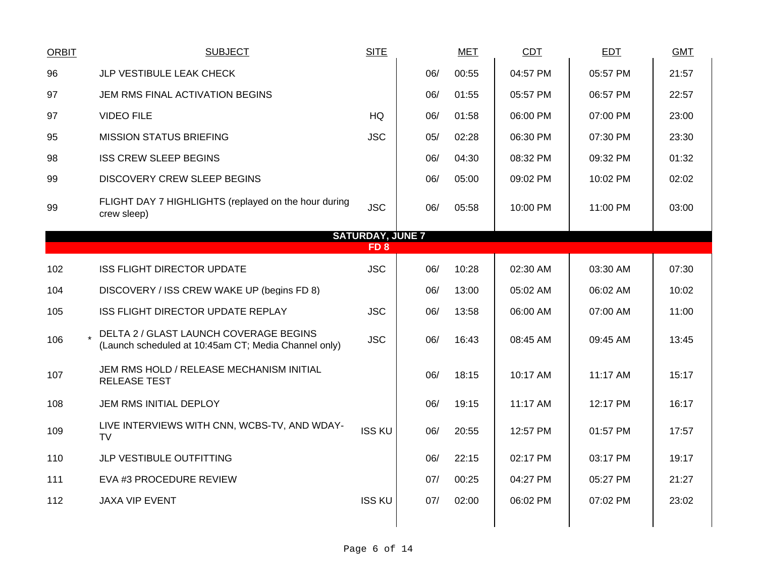| <b>ORBIT</b>            | <b>SUBJECT</b>                                                                                 | <b>SITE</b>   |     | <b>MET</b> | <b>CDT</b> | <b>EDT</b> | <b>GMT</b> |  |  |  |  |  |
|-------------------------|------------------------------------------------------------------------------------------------|---------------|-----|------------|------------|------------|------------|--|--|--|--|--|
| 96                      | JLP VESTIBULE LEAK CHECK                                                                       |               | 06/ | 00:55      | 04:57 PM   | 05:57 PM   | 21:57      |  |  |  |  |  |
| 97                      | JEM RMS FINAL ACTIVATION BEGINS                                                                |               | 06/ | 01:55      | 05:57 PM   | 06:57 PM   | 22:57      |  |  |  |  |  |
| 97                      | <b>VIDEO FILE</b>                                                                              | HQ            | 06/ | 01:58      | 06:00 PM   | 07:00 PM   | 23:00      |  |  |  |  |  |
| 95                      | <b>MISSION STATUS BRIEFING</b>                                                                 | <b>JSC</b>    | 05/ | 02:28      | 06:30 PM   | 07:30 PM   | 23:30      |  |  |  |  |  |
| 98                      | <b>ISS CREW SLEEP BEGINS</b>                                                                   |               | 06/ | 04:30      | 08:32 PM   | 09:32 PM   | 01:32      |  |  |  |  |  |
| 99                      | <b>DISCOVERY CREW SLEEP BEGINS</b>                                                             |               | 06/ | 05:00      | 09:02 PM   | 10:02 PM   | 02:02      |  |  |  |  |  |
| 99                      | FLIGHT DAY 7 HIGHLIGHTS (replayed on the hour during<br>crew sleep)                            | <b>JSC</b>    | 06/ | 05:58      | 10:00 PM   | 11:00 PM   | 03:00      |  |  |  |  |  |
| <b>SATURDAY, JUNE 7</b> |                                                                                                |               |     |            |            |            |            |  |  |  |  |  |
|                         | FD <sub>8</sub>                                                                                |               |     |            |            |            |            |  |  |  |  |  |
| 102                     | <b>ISS FLIGHT DIRECTOR UPDATE</b>                                                              | <b>JSC</b>    | 06/ | 10:28      | 02:30 AM   | 03:30 AM   | 07:30      |  |  |  |  |  |
| 104                     | DISCOVERY / ISS CREW WAKE UP (begins FD 8)                                                     |               | 06/ | 13:00      | 05:02 AM   | 06:02 AM   | 10:02      |  |  |  |  |  |
| 105                     | ISS FLIGHT DIRECTOR UPDATE REPLAY                                                              | <b>JSC</b>    | 06/ | 13:58      | 06:00 AM   | 07:00 AM   | 11:00      |  |  |  |  |  |
| 106                     | DELTA 2 / GLAST LAUNCH COVERAGE BEGINS<br>(Launch scheduled at 10:45am CT; Media Channel only) | <b>JSC</b>    | 06/ | 16:43      | 08:45 AM   | 09:45 AM   | 13:45      |  |  |  |  |  |
| 107                     | JEM RMS HOLD / RELEASE MECHANISM INITIAL<br><b>RELEASE TEST</b>                                |               | 06/ | 18:15      | 10:17 AM   | 11:17 AM   | 15:17      |  |  |  |  |  |
| 108                     | JEM RMS INITIAL DEPLOY                                                                         |               | 06/ | 19:15      | 11:17 AM   | 12:17 PM   | 16:17      |  |  |  |  |  |
| 109                     | LIVE INTERVIEWS WITH CNN, WCBS-TV, AND WDAY-<br><b>TV</b>                                      | <b>ISS KU</b> | 06/ | 20:55      | 12:57 PM   | 01:57 PM   | 17:57      |  |  |  |  |  |
| 110                     | JLP VESTIBULE OUTFITTING                                                                       |               | 06/ | 22:15      | 02:17 PM   | 03:17 PM   | 19:17      |  |  |  |  |  |
| 111                     | EVA #3 PROCEDURE REVIEW                                                                        |               | 07/ | 00:25      | 04:27 PM   | 05:27 PM   | 21:27      |  |  |  |  |  |
| 112                     | <b>JAXA VIP EVENT</b>                                                                          | <b>ISS KU</b> | 07/ | 02:00      | 06:02 PM   | 07:02 PM   | 23:02      |  |  |  |  |  |
|                         |                                                                                                |               |     |            |            |            |            |  |  |  |  |  |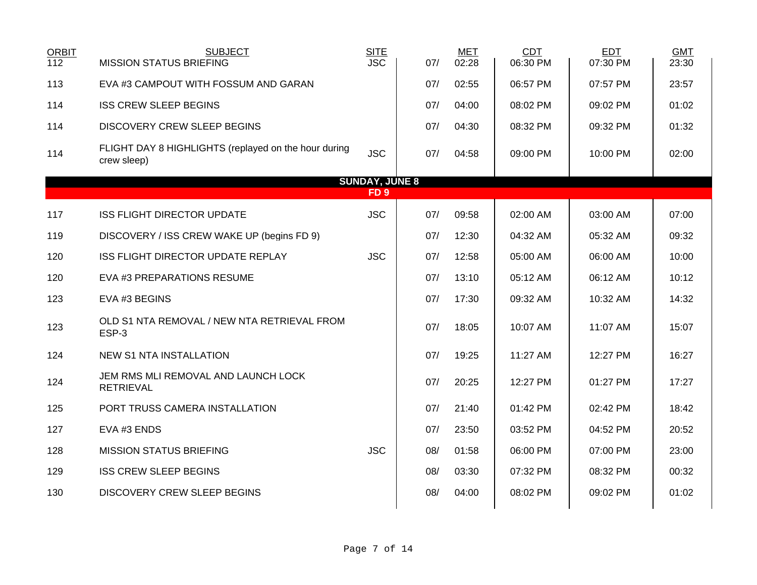| <b>ORBIT</b><br>112 | <b>SUBJECT</b><br><b>MISSION STATUS BRIEFING</b>                    | <b>SITE</b><br><b>JSC</b> | 07/ | <b>MET</b><br>02:28 | <b>CDT</b><br>06:30 PM | <b>EDT</b><br>07:30 PM | <b>GMT</b><br>23:30 |  |  |  |  |  |
|---------------------|---------------------------------------------------------------------|---------------------------|-----|---------------------|------------------------|------------------------|---------------------|--|--|--|--|--|
| 113                 | EVA #3 CAMPOUT WITH FOSSUM AND GARAN                                |                           | 07/ | 02:55               | 06:57 PM               | 07:57 PM               | 23:57               |  |  |  |  |  |
| 114                 | <b>ISS CREW SLEEP BEGINS</b>                                        |                           | 07/ | 04:00               | 08:02 PM               | 09:02 PM               | 01:02               |  |  |  |  |  |
| 114                 | <b>DISCOVERY CREW SLEEP BEGINS</b>                                  |                           | 07/ | 04:30               | 08:32 PM               | 09:32 PM               | 01:32               |  |  |  |  |  |
| 114                 | FLIGHT DAY 8 HIGHLIGHTS (replayed on the hour during<br>crew sleep) | <b>JSC</b>                | 07/ | 04:58               | 09:00 PM               | 10:00 PM               | 02:00               |  |  |  |  |  |
|                     |                                                                     | <b>SUNDAY, JUNE 8</b>     |     |                     |                        |                        |                     |  |  |  |  |  |
| FD <sub>9</sub>     |                                                                     |                           |     |                     |                        |                        |                     |  |  |  |  |  |
| 117                 | <b>ISS FLIGHT DIRECTOR UPDATE</b>                                   | <b>JSC</b>                | 07/ | 09:58               | 02:00 AM               | 03:00 AM               | 07:00               |  |  |  |  |  |
| 119                 | DISCOVERY / ISS CREW WAKE UP (begins FD 9)                          |                           | 07/ | 12:30               | 04:32 AM               | 05:32 AM               | 09:32               |  |  |  |  |  |
| 120                 | ISS FLIGHT DIRECTOR UPDATE REPLAY                                   | <b>JSC</b>                | 07/ | 12:58               | 05:00 AM               | 06:00 AM               | 10:00               |  |  |  |  |  |
| 120                 | EVA #3 PREPARATIONS RESUME                                          |                           | 07/ | 13:10               | 05:12 AM               | 06:12 AM               | 10:12               |  |  |  |  |  |
| 123                 | EVA #3 BEGINS                                                       |                           | 07/ | 17:30               | 09:32 AM               | 10:32 AM               | 14:32               |  |  |  |  |  |
| 123                 | OLD S1 NTA REMOVAL / NEW NTA RETRIEVAL FROM<br>ESP-3                |                           | 07/ | 18:05               | 10:07 AM               | 11:07 AM               | 15:07               |  |  |  |  |  |
| 124                 | <b>NEW S1 NTA INSTALLATION</b>                                      |                           | 07/ | 19:25               | 11:27 AM               | 12:27 PM               | 16:27               |  |  |  |  |  |
| 124                 | JEM RMS MLI REMOVAL AND LAUNCH LOCK<br><b>RETRIEVAL</b>             |                           | 07/ | 20:25               | 12:27 PM               | 01:27 PM               | 17:27               |  |  |  |  |  |
| 125                 | PORT TRUSS CAMERA INSTALLATION                                      |                           | 07/ | 21:40               | 01:42 PM               | 02:42 PM               | 18:42               |  |  |  |  |  |
| 127                 | EVA #3 ENDS                                                         |                           | 07/ | 23:50               | 03:52 PM               | 04:52 PM               | 20:52               |  |  |  |  |  |
| 128                 | <b>MISSION STATUS BRIEFING</b>                                      | <b>JSC</b>                | 08/ | 01:58               | 06:00 PM               | 07:00 PM               | 23:00               |  |  |  |  |  |
| 129                 | <b>ISS CREW SLEEP BEGINS</b>                                        |                           | 08/ | 03:30               | 07:32 PM               | 08:32 PM               | 00:32               |  |  |  |  |  |
| 130                 | <b>DISCOVERY CREW SLEEP BEGINS</b>                                  |                           | 08/ | 04:00               | 08:02 PM               | 09:02 PM               | 01:02               |  |  |  |  |  |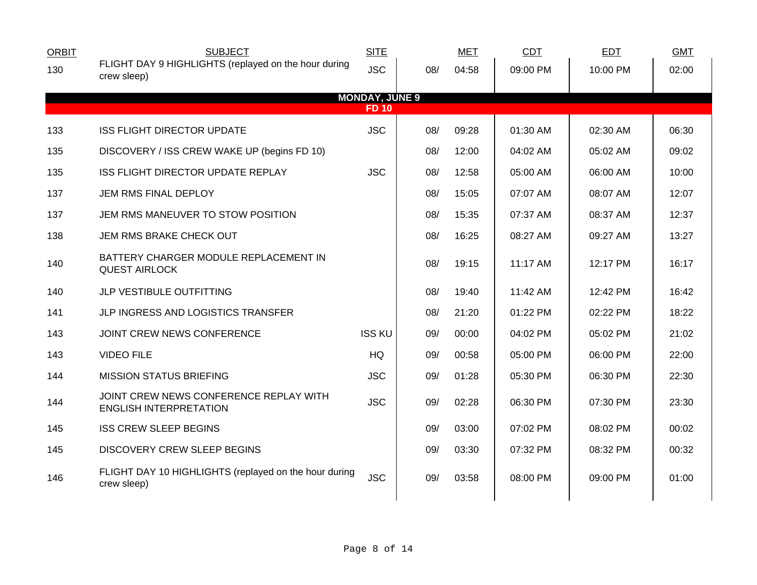| <b>SUBJECT</b>                                                          | <b>SITE</b>                                                         |     | <b>MET</b>            | CDT      | <b>EDT</b> | <b>GMT</b> |  |
|-------------------------------------------------------------------------|---------------------------------------------------------------------|-----|-----------------------|----------|------------|------------|--|
|                                                                         | <b>JSC</b>                                                          | 08/ | 04:58                 | 09:00 PM | 10:00 PM   | 02:00      |  |
|                                                                         |                                                                     |     |                       |          |            |            |  |
|                                                                         | <b>FD 10</b>                                                        |     |                       |          |            |            |  |
| <b>ISS FLIGHT DIRECTOR UPDATE</b>                                       | <b>JSC</b>                                                          | 08/ | 09:28                 | 01:30 AM | 02:30 AM   | 06:30      |  |
| DISCOVERY / ISS CREW WAKE UP (begins FD 10)                             |                                                                     | 08/ | 12:00                 | 04:02 AM | 05:02 AM   | 09:02      |  |
| ISS FLIGHT DIRECTOR UPDATE REPLAY                                       | <b>JSC</b>                                                          | 08/ | 12:58                 | 05:00 AM | 06:00 AM   | 10:00      |  |
| JEM RMS FINAL DEPLOY                                                    |                                                                     | 08/ | 15:05                 | 07:07 AM | 08:07 AM   | 12:07      |  |
| JEM RMS MANEUVER TO STOW POSITION                                       |                                                                     | 08/ | 15:35                 | 07:37 AM | 08:37 AM   | 12:37      |  |
| JEM RMS BRAKE CHECK OUT                                                 |                                                                     | 08/ | 16:25                 | 08:27 AM | 09:27 AM   | 13:27      |  |
| BATTERY CHARGER MODULE REPLACEMENT IN<br><b>QUEST AIRLOCK</b>           |                                                                     | 08/ | 19:15                 | 11:17 AM | 12:17 PM   | 16:17      |  |
| JLP VESTIBULE OUTFITTING                                                |                                                                     | 08/ | 19:40                 | 11:42 AM | 12:42 PM   | 16:42      |  |
| JLP INGRESS AND LOGISTICS TRANSFER                                      |                                                                     | 08/ | 21:20                 | 01:22 PM | 02:22 PM   | 18:22      |  |
| JOINT CREW NEWS CONFERENCE                                              | <b>ISS KU</b>                                                       | 09/ | 00:00                 | 04:02 PM | 05:02 PM   | 21:02      |  |
| <b>VIDEO FILE</b>                                                       | HQ                                                                  | 09/ | 00:58                 | 05:00 PM | 06:00 PM   | 22:00      |  |
| <b>MISSION STATUS BRIEFING</b>                                          | <b>JSC</b>                                                          | 09/ | 01:28                 | 05:30 PM | 06:30 PM   | 22:30      |  |
| JOINT CREW NEWS CONFERENCE REPLAY WITH<br><b>ENGLISH INTERPRETATION</b> | <b>JSC</b>                                                          | 09/ | 02:28                 | 06:30 PM | 07:30 PM   | 23:30      |  |
| <b>ISS CREW SLEEP BEGINS</b>                                            |                                                                     | 09/ | 03:00                 | 07:02 PM | 08:02 PM   | 00:02      |  |
| <b>DISCOVERY CREW SLEEP BEGINS</b>                                      |                                                                     | 09/ | 03:30                 | 07:32 PM | 08:32 PM   | 00:32      |  |
| FLIGHT DAY 10 HIGHLIGHTS (replayed on the hour during<br>crew sleep)    | <b>JSC</b>                                                          | 09/ | 03:58                 | 08:00 PM | 09:00 PM   | 01:00      |  |
|                                                                         | FLIGHT DAY 9 HIGHLIGHTS (replayed on the hour during<br>crew sleep) |     | <b>MONDAY, JUNE 9</b> |          |            |            |  |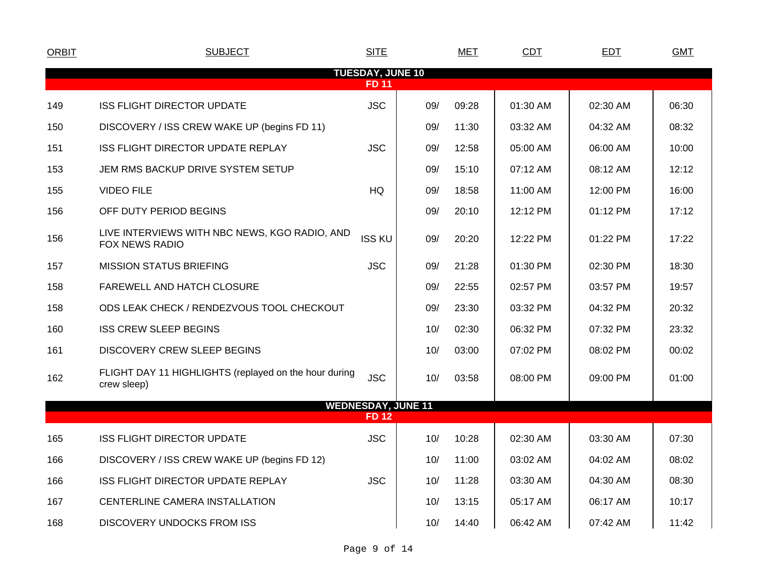| <b>ORBIT</b>                            | <b>SUBJECT</b>                                                         | <b>SITE</b>                              |            | MET   | <b>CDT</b> | <b>EDT</b> | <b>GMT</b> |  |  |  |  |  |
|-----------------------------------------|------------------------------------------------------------------------|------------------------------------------|------------|-------|------------|------------|------------|--|--|--|--|--|
| <b>TUESDAY, JUNE 10</b><br><b>FD 11</b> |                                                                        |                                          |            |       |            |            |            |  |  |  |  |  |
| 149                                     | <b>ISS FLIGHT DIRECTOR UPDATE</b>                                      | <b>JSC</b>                               | 09/        | 09:28 | 01:30 AM   | 02:30 AM   | 06:30      |  |  |  |  |  |
| 150                                     | DISCOVERY / ISS CREW WAKE UP (begins FD 11)                            |                                          | 09/        | 11:30 | 03:32 AM   | 04:32 AM   | 08:32      |  |  |  |  |  |
| 151                                     | ISS FLIGHT DIRECTOR UPDATE REPLAY                                      | <b>JSC</b>                               | 09/        | 12:58 | 05:00 AM   | 06:00 AM   | 10:00      |  |  |  |  |  |
| 153                                     | JEM RMS BACKUP DRIVE SYSTEM SETUP                                      |                                          | 09/        | 15:10 | 07:12 AM   | 08:12 AM   | 12:12      |  |  |  |  |  |
| 155                                     | <b>VIDEO FILE</b>                                                      | HQ                                       | 09/        | 18:58 | 11:00 AM   | 12:00 PM   | 16:00      |  |  |  |  |  |
| 156                                     | OFF DUTY PERIOD BEGINS                                                 |                                          | 09/        | 20:10 | 12:12 PM   | 01:12 PM   | 17:12      |  |  |  |  |  |
| 156                                     | LIVE INTERVIEWS WITH NBC NEWS, KGO RADIO, AND<br><b>FOX NEWS RADIO</b> | <b>ISS KU</b>                            | 09/        | 20:20 | 12:22 PM   | 01:22 PM   | 17:22      |  |  |  |  |  |
| 157                                     | <b>MISSION STATUS BRIEFING</b>                                         | <b>JSC</b>                               | 09/        | 21:28 | 01:30 PM   | 02:30 PM   | 18:30      |  |  |  |  |  |
| 158                                     | FAREWELL AND HATCH CLOSURE                                             |                                          | 09/        | 22:55 | 02:57 PM   | 03:57 PM   | 19:57      |  |  |  |  |  |
| 158                                     | ODS LEAK CHECK / RENDEZVOUS TOOL CHECKOUT                              |                                          | 09/        | 23:30 | 03:32 PM   | 04:32 PM   | 20:32      |  |  |  |  |  |
| 160                                     | <b>ISS CREW SLEEP BEGINS</b>                                           |                                          | 10/        | 02:30 | 06:32 PM   | 07:32 PM   | 23:32      |  |  |  |  |  |
| 161                                     | <b>DISCOVERY CREW SLEEP BEGINS</b>                                     |                                          | 10/        | 03:00 | 07:02 PM   | 08:02 PM   | 00:02      |  |  |  |  |  |
| 162                                     | FLIGHT DAY 11 HIGHLIGHTS (replayed on the hour during<br>crew sleep)   | <b>JSC</b>                               | 10/        | 03:58 | 08:00 PM   | 09:00 PM   | 01:00      |  |  |  |  |  |
|                                         |                                                                        | <b>WEDNESDAY, JUNE 11</b><br><b>FD12</b> |            |       |            |            |            |  |  |  |  |  |
| 165                                     | <b>ISS FLIGHT DIRECTOR UPDATE</b>                                      | <b>JSC</b>                               | 10/        | 10:28 | 02:30 AM   | 03:30 AM   | 07:30      |  |  |  |  |  |
| 166                                     | DISCOVERY / ISS CREW WAKE UP (begins FD 12)                            |                                          | 10/        | 11:00 | 03:02 AM   | 04:02 AM   | 08:02      |  |  |  |  |  |
| 166                                     | ISS FLIGHT DIRECTOR UPDATE REPLAY                                      | <b>JSC</b>                               |            | 11:28 |            |            | 08:30      |  |  |  |  |  |
|                                         | CENTERLINE CAMERA INSTALLATION                                         |                                          | 10/<br>10/ | 13:15 | 03:30 AM   | 04:30 AM   | 10:17      |  |  |  |  |  |
| 167                                     |                                                                        |                                          |            |       | 05:17 AM   | 06:17 AM   |            |  |  |  |  |  |
| 168                                     | <b>DISCOVERY UNDOCKS FROM ISS</b>                                      |                                          | 10/        | 14:40 | 06:42 AM   | 07:42 AM   | 11:42      |  |  |  |  |  |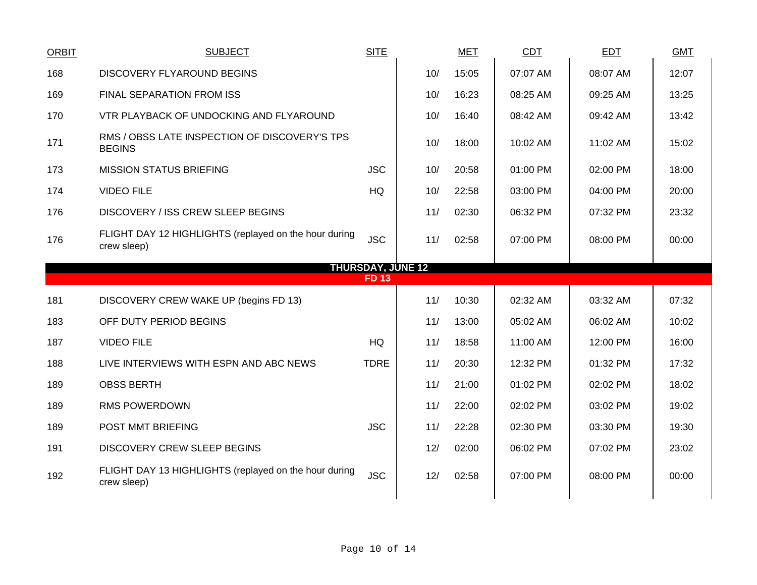| ORBIT                    | <b>SUBJECT</b>                                                       | <b>SITE</b> |     | <b>MET</b> | CDT      | <b>EDT</b> | <b>GMT</b> |  |  |  |  |
|--------------------------|----------------------------------------------------------------------|-------------|-----|------------|----------|------------|------------|--|--|--|--|
| 168                      | <b>DISCOVERY FLYAROUND BEGINS</b>                                    |             | 10/ | 15:05      | 07:07 AM | 08:07 AM   | 12:07      |  |  |  |  |
| 169                      | FINAL SEPARATION FROM ISS                                            |             | 10/ | 16:23      | 08:25 AM | 09:25 AM   | 13:25      |  |  |  |  |
| 170                      | VTR PLAYBACK OF UNDOCKING AND FLYAROUND                              |             | 10/ | 16:40      | 08:42 AM | 09:42 AM   | 13:42      |  |  |  |  |
| 171                      | RMS / OBSS LATE INSPECTION OF DISCOVERY'S TPS<br><b>BEGINS</b>       |             | 10/ | 18:00      | 10:02 AM | 11:02 AM   | 15:02      |  |  |  |  |
| 173                      | <b>MISSION STATUS BRIEFING</b>                                       | <b>JSC</b>  | 10/ | 20:58      | 01:00 PM | 02:00 PM   | 18:00      |  |  |  |  |
| 174                      | <b>VIDEO FILE</b>                                                    | HQ          | 10/ | 22:58      | 03:00 PM | 04:00 PM   | 20:00      |  |  |  |  |
| 176                      | DISCOVERY / ISS CREW SLEEP BEGINS                                    |             | 11/ | 02:30      | 06:32 PM | 07:32 PM   | 23:32      |  |  |  |  |
| 176                      | FLIGHT DAY 12 HIGHLIGHTS (replayed on the hour during<br>crew sleep) | <b>JSC</b>  | 11/ | 02:58      | 07:00 PM | 08:00 PM   | 00:00      |  |  |  |  |
| <b>THURSDAY, JUNE 12</b> |                                                                      |             |     |            |          |            |            |  |  |  |  |
|                          |                                                                      | <b>FD13</b> |     |            |          |            |            |  |  |  |  |
| 181                      | DISCOVERY CREW WAKE UP (begins FD 13)                                |             | 11/ | 10:30      | 02:32 AM | 03:32 AM   | 07:32      |  |  |  |  |
| 183                      | OFF DUTY PERIOD BEGINS                                               |             | 11/ | 13:00      | 05:02 AM | 06:02 AM   | 10:02      |  |  |  |  |
| 187                      | <b>VIDEO FILE</b>                                                    | HQ          | 11/ | 18:58      | 11:00 AM | 12:00 PM   | 16:00      |  |  |  |  |
| 188                      | LIVE INTERVIEWS WITH ESPN AND ABC NEWS                               | <b>TDRE</b> | 11/ | 20:30      | 12:32 PM | 01:32 PM   | 17:32      |  |  |  |  |
| 189                      | <b>OBSS BERTH</b>                                                    |             | 11/ | 21:00      | 01:02 PM | 02:02 PM   | 18:02      |  |  |  |  |
| 189                      | <b>RMS POWERDOWN</b>                                                 |             | 11/ | 22:00      | 02:02 PM | 03:02 PM   | 19:02      |  |  |  |  |
| 189                      | POST MMT BRIEFING                                                    | <b>JSC</b>  | 11/ | 22:28      | 02:30 PM | 03:30 PM   | 19:30      |  |  |  |  |
| 191                      | <b>DISCOVERY CREW SLEEP BEGINS</b>                                   |             | 12/ | 02:00      | 06:02 PM | 07:02 PM   | 23:02      |  |  |  |  |
| 192                      | FLIGHT DAY 13 HIGHLIGHTS (replayed on the hour during<br>crew sleep) | <b>JSC</b>  | 12/ | 02:58      | 07:00 PM | 08:00 PM   | 00:00      |  |  |  |  |
|                          |                                                                      |             |     |            |          |            |            |  |  |  |  |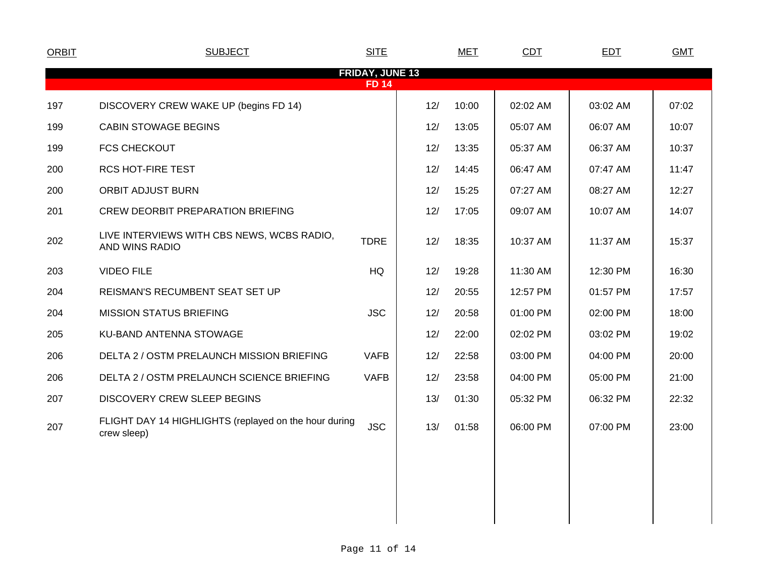| <b>ORBIT</b> | <b>SUBJECT</b>                                                       | <b>SITE</b>                            |     | <b>MET</b> | <b>CDT</b> | <b>EDT</b> | <b>GMT</b> |
|--------------|----------------------------------------------------------------------|----------------------------------------|-----|------------|------------|------------|------------|
|              |                                                                      | <b>FRIDAY, JUNE 13</b><br><b>FD 14</b> |     |            |            |            |            |
| 197          | DISCOVERY CREW WAKE UP (begins FD 14)                                |                                        | 12/ | 10:00      | 02:02 AM   | 03:02 AM   | 07:02      |
| 199          | <b>CABIN STOWAGE BEGINS</b>                                          |                                        | 12/ | 13:05      | 05:07 AM   | 06:07 AM   | 10:07      |
| 199          | <b>FCS CHECKOUT</b>                                                  |                                        | 12/ | 13:35      | 05:37 AM   | 06:37 AM   | 10:37      |
| 200          | <b>RCS HOT-FIRE TEST</b>                                             |                                        | 12/ | 14:45      | 06:47 AM   | 07:47 AM   | 11:47      |
| 200          | <b>ORBIT ADJUST BURN</b>                                             |                                        | 12/ | 15:25      | 07:27 AM   | 08:27 AM   | 12:27      |
| 201          | <b>CREW DEORBIT PREPARATION BRIEFING</b>                             |                                        | 12/ | 17:05      | 09:07 AM   | 10:07 AM   | 14:07      |
| 202          | LIVE INTERVIEWS WITH CBS NEWS, WCBS RADIO,<br>AND WINS RADIO         | <b>TDRE</b>                            | 12/ | 18:35      | 10:37 AM   | 11:37 AM   | 15:37      |
| 203          | <b>VIDEO FILE</b>                                                    | HQ                                     | 12/ | 19:28      | 11:30 AM   | 12:30 PM   | 16:30      |
| 204          | REISMAN'S RECUMBENT SEAT SET UP                                      |                                        | 12/ | 20:55      | 12:57 PM   | 01:57 PM   | 17:57      |
| 204          | <b>MISSION STATUS BRIEFING</b>                                       | <b>JSC</b>                             | 12/ | 20:58      | 01:00 PM   | 02:00 PM   | 18:00      |
| 205          | KU-BAND ANTENNA STOWAGE                                              |                                        | 12/ | 22:00      | 02:02 PM   | 03:02 PM   | 19:02      |
| 206          | DELTA 2 / OSTM PRELAUNCH MISSION BRIEFING                            | <b>VAFB</b>                            | 12/ | 22:58      | 03:00 PM   | 04:00 PM   | 20:00      |
| 206          | DELTA 2 / OSTM PRELAUNCH SCIENCE BRIEFING                            | <b>VAFB</b>                            | 12/ | 23:58      | 04:00 PM   | 05:00 PM   | 21:00      |
| 207          | DISCOVERY CREW SLEEP BEGINS                                          |                                        | 13/ | 01:30      | 05:32 PM   | 06:32 PM   | 22:32      |
| 207          | FLIGHT DAY 14 HIGHLIGHTS (replayed on the hour during<br>crew sleep) | <b>JSC</b>                             | 13/ | 01:58      | 06:00 PM   | 07:00 PM   | 23:00      |
|              |                                                                      |                                        |     |            |            |            |            |
|              |                                                                      |                                        |     |            |            |            |            |
|              |                                                                      |                                        |     |            |            |            |            |
|              |                                                                      |                                        |     |            |            |            |            |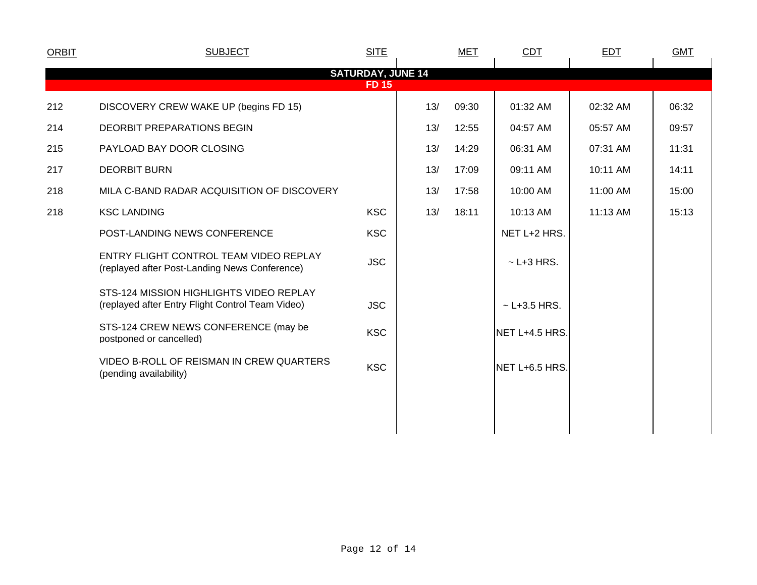| <b>ORBIT</b> | <b>SUBJECT</b>                                                                              | <b>SITE</b>                              |     | <b>MET</b> | CDT              | <b>EDT</b> | <b>GMT</b> |  |
|--------------|---------------------------------------------------------------------------------------------|------------------------------------------|-----|------------|------------------|------------|------------|--|
|              |                                                                                             | <b>SATURDAY, JUNE 14</b><br><b>FD 15</b> |     |            |                  |            |            |  |
| 212          | DISCOVERY CREW WAKE UP (begins FD 15)                                                       |                                          | 13/ | 09:30      | 01:32 AM         | 02:32 AM   | 06:32      |  |
| 214          | <b>DEORBIT PREPARATIONS BEGIN</b>                                                           |                                          | 13/ | 12:55      | 04:57 AM         | 05:57 AM   | 09:57      |  |
| 215          | PAYLOAD BAY DOOR CLOSING                                                                    |                                          | 13/ | 14:29      | 06:31 AM         | 07:31 AM   | 11:31      |  |
| 217          | <b>DEORBIT BURN</b>                                                                         |                                          | 13/ | 17:09      | 09:11 AM         | 10:11 AM   | 14:11      |  |
| 218          | MILA C-BAND RADAR ACQUISITION OF DISCOVERY                                                  |                                          | 13/ | 17:58      | 10:00 AM         | 11:00 AM   | 15:00      |  |
| 218          | <b>KSC LANDING</b>                                                                          | <b>KSC</b>                               | 13/ | 18:11      | 10:13 AM         | 11:13 AM   | 15:13      |  |
|              | POST-LANDING NEWS CONFERENCE                                                                | <b>KSC</b>                               |     |            | NET L+2 HRS.     |            |            |  |
|              | ENTRY FLIGHT CONTROL TEAM VIDEO REPLAY<br>(replayed after Post-Landing News Conference)     | <b>JSC</b>                               |     |            | $\sim$ L+3 HRS.  |            |            |  |
|              | STS-124 MISSION HIGHLIGHTS VIDEO REPLAY<br>(replayed after Entry Flight Control Team Video) | <b>JSC</b>                               |     |            | $~$ - L+3.5 HRS. |            |            |  |
|              | STS-124 CREW NEWS CONFERENCE (may be<br>postponed or cancelled)                             | <b>KSC</b>                               |     |            | NET L+4.5 HRS.   |            |            |  |
|              | VIDEO B-ROLL OF REISMAN IN CREW QUARTERS<br>(pending availability)                          | <b>KSC</b>                               |     |            | NET L+6.5 HRS.   |            |            |  |
|              |                                                                                             |                                          |     |            |                  |            |            |  |
|              |                                                                                             |                                          |     |            |                  |            |            |  |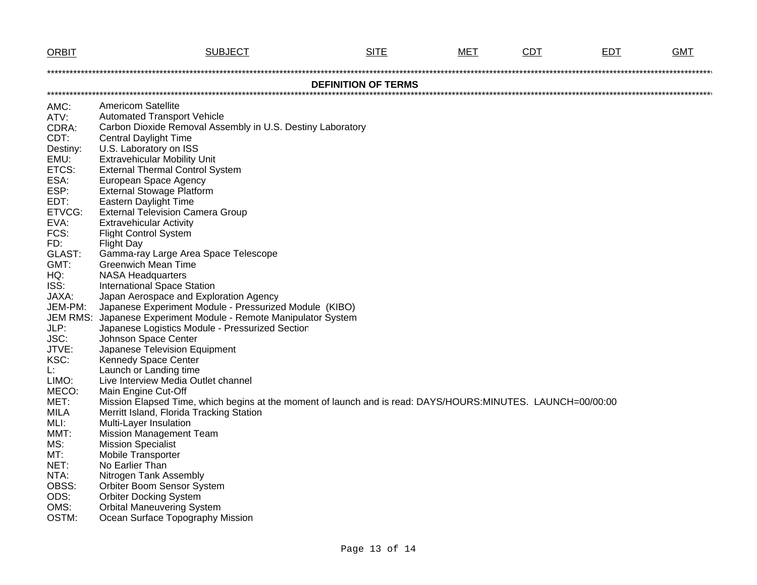| <b>ORBIT</b>               | <b>SUBJECT</b>                                                                                                                                          | <b>SITE</b> | <b>MET</b> | <b>CDT</b> | EDT | <b>GMT</b> |  |  |  |  |  |  |
|----------------------------|---------------------------------------------------------------------------------------------------------------------------------------------------------|-------------|------------|------------|-----|------------|--|--|--|--|--|--|
|                            |                                                                                                                                                         |             |            |            |     |            |  |  |  |  |  |  |
| <b>DEFINITION OF TERMS</b> |                                                                                                                                                         |             |            |            |     |            |  |  |  |  |  |  |
|                            |                                                                                                                                                         |             |            |            |     |            |  |  |  |  |  |  |
| AMC:<br>ATV:               | <b>Americom Satellite</b><br><b>Automated Transport Vehicle</b>                                                                                         |             |            |            |     |            |  |  |  |  |  |  |
| CDRA:                      | Carbon Dioxide Removal Assembly in U.S. Destiny Laboratory                                                                                              |             |            |            |     |            |  |  |  |  |  |  |
| CDT:                       | <b>Central Daylight Time</b>                                                                                                                            |             |            |            |     |            |  |  |  |  |  |  |
| Destiny:                   | U.S. Laboratory on ISS                                                                                                                                  |             |            |            |     |            |  |  |  |  |  |  |
| EMU:                       | <b>Extravehicular Mobility Unit</b>                                                                                                                     |             |            |            |     |            |  |  |  |  |  |  |
| ETCS:                      | <b>External Thermal Control System</b>                                                                                                                  |             |            |            |     |            |  |  |  |  |  |  |
| ESA:                       | European Space Agency                                                                                                                                   |             |            |            |     |            |  |  |  |  |  |  |
| ESP:                       | <b>External Stowage Platform</b>                                                                                                                        |             |            |            |     |            |  |  |  |  |  |  |
| EDT:                       | <b>Eastern Daylight Time</b>                                                                                                                            |             |            |            |     |            |  |  |  |  |  |  |
| ETVCG:                     | <b>External Television Camera Group</b>                                                                                                                 |             |            |            |     |            |  |  |  |  |  |  |
| EVA:                       | <b>Extravehicular Activity</b>                                                                                                                          |             |            |            |     |            |  |  |  |  |  |  |
| FCS:                       | <b>Flight Control System</b>                                                                                                                            |             |            |            |     |            |  |  |  |  |  |  |
| FD:<br>GLAST:              | <b>Flight Day</b><br>Gamma-ray Large Area Space Telescope                                                                                               |             |            |            |     |            |  |  |  |  |  |  |
| GMT:                       | <b>Greenwich Mean Time</b>                                                                                                                              |             |            |            |     |            |  |  |  |  |  |  |
| HQ:                        | <b>NASA Headquarters</b>                                                                                                                                |             |            |            |     |            |  |  |  |  |  |  |
| ISS:                       | <b>International Space Station</b>                                                                                                                      |             |            |            |     |            |  |  |  |  |  |  |
| JAXA:                      | Japan Aerospace and Exploration Agency                                                                                                                  |             |            |            |     |            |  |  |  |  |  |  |
| JEM-PM:                    | Japanese Experiment Module - Pressurized Module (KIBO)                                                                                                  |             |            |            |     |            |  |  |  |  |  |  |
| <b>JEM RMS:</b>            | Japanese Experiment Module - Remote Manipulator System                                                                                                  |             |            |            |     |            |  |  |  |  |  |  |
| JLP:                       | Japanese Logistics Module - Pressurized Section                                                                                                         |             |            |            |     |            |  |  |  |  |  |  |
| JSC:                       | Johnson Space Center                                                                                                                                    |             |            |            |     |            |  |  |  |  |  |  |
| JTVE:                      | Japanese Television Equipment                                                                                                                           |             |            |            |     |            |  |  |  |  |  |  |
| KSC:                       | Kennedy Space Center                                                                                                                                    |             |            |            |     |            |  |  |  |  |  |  |
| Ŀ.                         | Launch or Landing time                                                                                                                                  |             |            |            |     |            |  |  |  |  |  |  |
| LIMO:                      | Live Interview Media Outlet channel                                                                                                                     |             |            |            |     |            |  |  |  |  |  |  |
| MECO:                      | Main Engine Cut-Off                                                                                                                                     |             |            |            |     |            |  |  |  |  |  |  |
| MET:<br>MILA               | Mission Elapsed Time, which begins at the moment of launch and is read: DAYS/HOURS:MINUTES. LAUNCH=00/00:00<br>Merritt Island, Florida Tracking Station |             |            |            |     |            |  |  |  |  |  |  |
| MLI:                       | Multi-Layer Insulation                                                                                                                                  |             |            |            |     |            |  |  |  |  |  |  |
| MMT:                       | <b>Mission Management Team</b>                                                                                                                          |             |            |            |     |            |  |  |  |  |  |  |
| MS:                        | <b>Mission Specialist</b>                                                                                                                               |             |            |            |     |            |  |  |  |  |  |  |
| MT:                        | <b>Mobile Transporter</b>                                                                                                                               |             |            |            |     |            |  |  |  |  |  |  |
| NET:                       | No Earlier Than                                                                                                                                         |             |            |            |     |            |  |  |  |  |  |  |
| NTA:                       | Nitrogen Tank Assembly                                                                                                                                  |             |            |            |     |            |  |  |  |  |  |  |
| OBSS:                      | Orbiter Boom Sensor System                                                                                                                              |             |            |            |     |            |  |  |  |  |  |  |
| ODS:                       | <b>Orbiter Docking System</b>                                                                                                                           |             |            |            |     |            |  |  |  |  |  |  |
| OMS:                       | <b>Orbital Maneuvering System</b>                                                                                                                       |             |            |            |     |            |  |  |  |  |  |  |
| OSTM:                      | Ocean Surface Topography Mission                                                                                                                        |             |            |            |     |            |  |  |  |  |  |  |